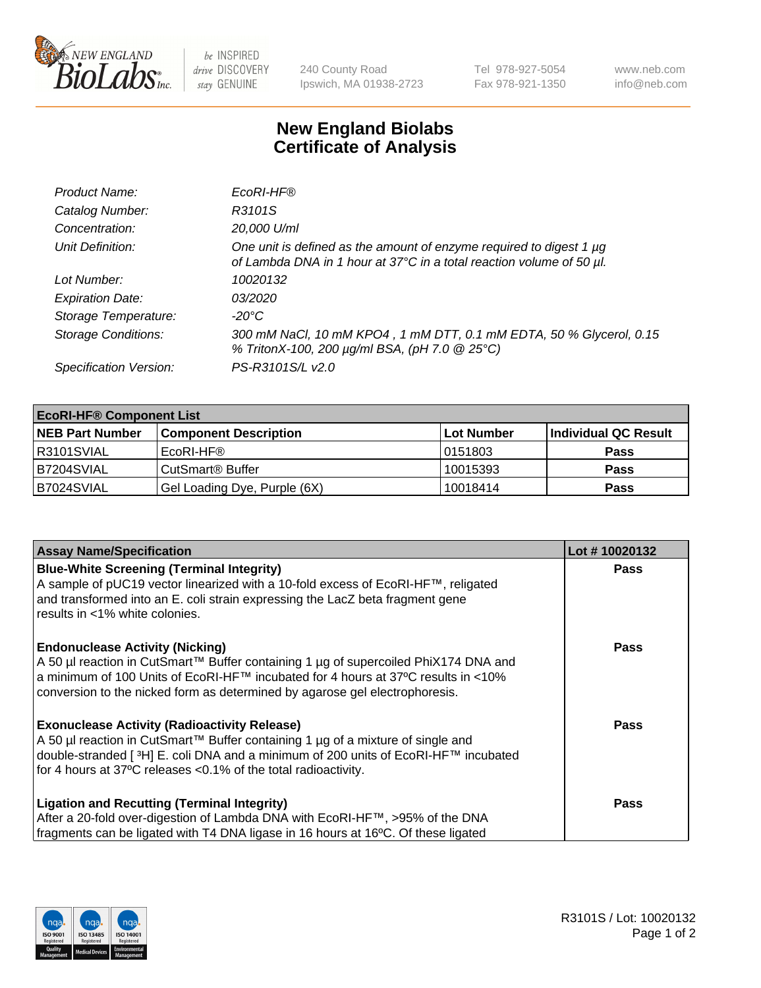

 $be$  INSPIRED drive DISCOVERY stay GENUINE

240 County Road Ipswich, MA 01938-2723 Tel 978-927-5054 Fax 978-921-1350 www.neb.com info@neb.com

## **New England Biolabs Certificate of Analysis**

| Product Name:              | EcoRI-HF®                                                                                                                                   |
|----------------------------|---------------------------------------------------------------------------------------------------------------------------------------------|
| Catalog Number:            | R3101S                                                                                                                                      |
| Concentration:             | 20,000 U/ml                                                                                                                                 |
| Unit Definition:           | One unit is defined as the amount of enzyme required to digest 1 µg<br>of Lambda DNA in 1 hour at 37°C in a total reaction volume of 50 µl. |
| Lot Number:                | 10020132                                                                                                                                    |
| <b>Expiration Date:</b>    | 03/2020                                                                                                                                     |
| Storage Temperature:       | $-20^{\circ}$ C                                                                                                                             |
| <b>Storage Conditions:</b> | 300 mM NaCl, 10 mM KPO4, 1 mM DTT, 0.1 mM EDTA, 50 % Glycerol, 0.15<br>% TritonX-100, 200 µg/ml BSA, (pH 7.0 @ 25°C)                        |
| Specification Version:     | PS-R3101S/L v2.0                                                                                                                            |

| <b>EcoRI-HF® Component List</b> |                              |                   |                      |  |  |
|---------------------------------|------------------------------|-------------------|----------------------|--|--|
| <b>NEB Part Number</b>          | <b>Component Description</b> | <b>Lot Number</b> | Individual QC Result |  |  |
| IR3101SVIAL                     | EcoRI-HF®                    | 10151803          | <b>Pass</b>          |  |  |
| B7204SVIAL                      | CutSmart <sup>®</sup> Buffer | 10015393          | <b>Pass</b>          |  |  |
| B7024SVIAL                      | Gel Loading Dye, Purple (6X) | 10018414          | <b>Pass</b>          |  |  |

| <b>Assay Name/Specification</b>                                                                                                                                           | Lot #10020132 |
|---------------------------------------------------------------------------------------------------------------------------------------------------------------------------|---------------|
| <b>Blue-White Screening (Terminal Integrity)</b>                                                                                                                          | <b>Pass</b>   |
| A sample of pUC19 vector linearized with a 10-fold excess of EcoRI-HF™, religated<br>and transformed into an E. coli strain expressing the LacZ beta fragment gene        |               |
| results in <1% white colonies.                                                                                                                                            |               |
| <b>Endonuclease Activity (Nicking)</b>                                                                                                                                    | Pass          |
| A 50 µl reaction in CutSmart™ Buffer containing 1 µg of supercoiled PhiX174 DNA and<br> a minimum of 100 Units of EcoRI-HF™ incubated for 4 hours at 37°C results in <10% |               |
| conversion to the nicked form as determined by agarose gel electrophoresis.                                                                                               |               |
| <b>Exonuclease Activity (Radioactivity Release)</b>                                                                                                                       | Pass          |
| A 50 µl reaction in CutSmart™ Buffer containing 1 µg of a mixture of single and                                                                                           |               |
| double-stranded [ <sup>3</sup> H] E. coli DNA and a minimum of 200 units of EcoRI-HF™ incubated<br>for 4 hours at 37°C releases < 0.1% of the total radioactivity.        |               |
|                                                                                                                                                                           |               |
| <b>Ligation and Recutting (Terminal Integrity)</b>                                                                                                                        | <b>Pass</b>   |
| After a 20-fold over-digestion of Lambda DNA with EcoRI-HF™, >95% of the DNA                                                                                              |               |
| fragments can be ligated with T4 DNA ligase in 16 hours at 16°C. Of these ligated                                                                                         |               |